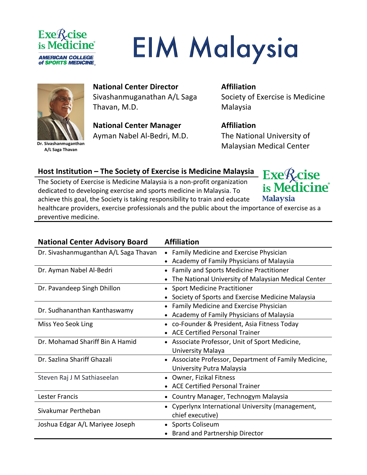

# **EIM Malaysia**



**Dr. Sivashanmuganthan A/L Saga Thavan**

## **National Center Director**  Sivashanmuganathan A/L Saga Thavan, M.D.

**National Center Manager** Ayman Nabel Al-Bedri, M.D.

# **Affiliation**

Society of Exercise is Medicine Malaysia

# **Affiliation**

The National University of Malaysian Medical Center

## **Host Institution – The Society of Exercise is Medicine Malaysia**

The Society of Exercise is Medicine Malaysia is a non-profit organization dedicated to developing exercise and sports medicine in Malaysia. To achieve this goal, the Society is taking responsibility to train and educate healthcare providers, exercise professionals and the public about the importance of exercise as a preventive medicine.

| <b>National Center Advisory Board</b> | <b>Affiliation</b>                                           |
|---------------------------------------|--------------------------------------------------------------|
| Dr. Sivashanmuganthan A/L Saga Thavan | Family Medicine and Exercise Physician<br>$\bullet$          |
|                                       | Academy of Family Physicians of Malaysia                     |
| Dr. Ayman Nabel Al-Bedri              | Family and Sports Medicine Practitioner<br>$\bullet$         |
|                                       | The National University of Malaysian Medical Center          |
| Dr. Pavandeep Singh Dhillon           | <b>Sport Medicine Practitioner</b>                           |
|                                       | Society of Sports and Exercise Medicine Malaysia             |
| Dr. Sudhananthan Kanthaswamy          | Family Medicine and Exercise Physician                       |
|                                       | Academy of Family Physicians of Malaysia                     |
| Miss Yeo Seok Ling                    | co-Founder & President, Asia Fitness Today                   |
|                                       | <b>ACE Certified Personal Trainer</b>                        |
| Dr. Mohamad Shariff Bin A Hamid       | • Associate Professor, Unit of Sport Medicine,               |
|                                       | University Malaya                                            |
| Dr. Sazlina Shariff Ghazali           | • Associate Professor, Department of Family Medicine,        |
|                                       | University Putra Malaysia                                    |
| Steven Raj J M Sathiaseelan           | Owner, Fizikal Fitness                                       |
|                                       | <b>ACE Certified Personal Trainer</b>                        |
| <b>Lester Francis</b>                 | Country Manager, Technogym Malaysia                          |
| Sivakumar Pertheban                   | Cyperlynx International University (management,<br>$\bullet$ |
|                                       | chief executive)                                             |
| Joshua Edgar A/L Mariyee Joseph       | Sports Coliseum                                              |
|                                       | • Brand and Partnership Director                             |

 $Exe\mathcal{R}$ cise is Medicine<sup>®</sup> **Malaysia**